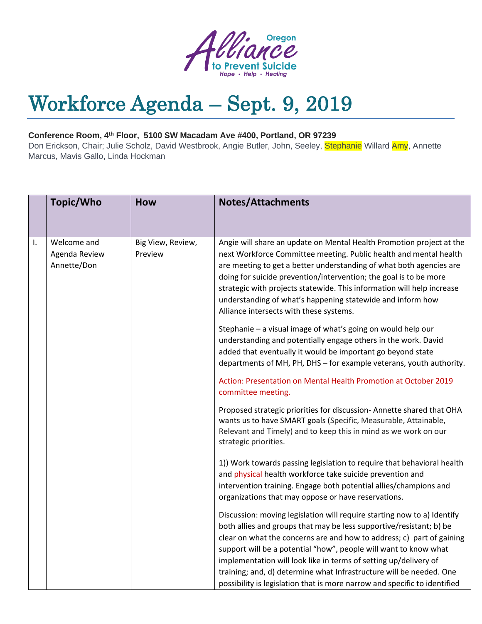

## Workforce Agenda – Sept. 9, 2019

## **Conference Room, 4th Floor, 5100 SW Macadam Ave #400, Portland, OR 97239**

Don Erickson, Chair; Julie Scholz, David Westbrook, Angie Butler, John, Seeley, Stephanie Willard Amy, Annette Marcus, Mavis Gallo, Linda Hockman

|    | Topic/Who                                   | <b>How</b>                   | <b>Notes/Attachments</b>                                                                                                                                                                                                                                                                                                                                                                                                                                                                                            |
|----|---------------------------------------------|------------------------------|---------------------------------------------------------------------------------------------------------------------------------------------------------------------------------------------------------------------------------------------------------------------------------------------------------------------------------------------------------------------------------------------------------------------------------------------------------------------------------------------------------------------|
| Ι. | Welcome and<br>Agenda Review<br>Annette/Don | Big View, Review,<br>Preview | Angie will share an update on Mental Health Promotion project at the<br>next Workforce Committee meeting. Public health and mental health<br>are meeting to get a better understanding of what both agencies are<br>doing for suicide prevention/intervention; the goal is to be more<br>strategic with projects statewide. This information will help increase<br>understanding of what's happening statewide and inform how<br>Alliance intersects with these systems.                                            |
|    |                                             |                              | Stephanie - a visual image of what's going on would help our<br>understanding and potentially engage others in the work. David<br>added that eventually it would be important go beyond state<br>departments of MH, PH, DHS - for example veterans, youth authority.                                                                                                                                                                                                                                                |
|    |                                             |                              | Action: Presentation on Mental Health Promotion at October 2019<br>committee meeting.                                                                                                                                                                                                                                                                                                                                                                                                                               |
|    |                                             |                              | Proposed strategic priorities for discussion- Annette shared that OHA<br>wants us to have SMART goals (Specific, Measurable, Attainable,<br>Relevant and Timely) and to keep this in mind as we work on our<br>strategic priorities.                                                                                                                                                                                                                                                                                |
|    |                                             |                              | 1)) Work towards passing legislation to require that behavioral health<br>and physical health workforce take suicide prevention and<br>intervention training. Engage both potential allies/champions and<br>organizations that may oppose or have reservations.                                                                                                                                                                                                                                                     |
|    |                                             |                              | Discussion: moving legislation will require starting now to a) Identify<br>both allies and groups that may be less supportive/resistant; b) be<br>clear on what the concerns are and how to address; c) part of gaining<br>support will be a potential "how", people will want to know what<br>implementation will look like in terms of setting up/delivery of<br>training; and, d) determine what Infrastructure will be needed. One<br>possibility is legislation that is more narrow and specific to identified |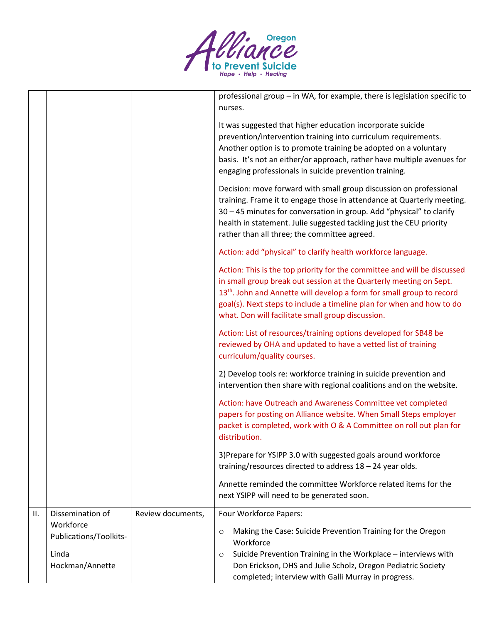

|     |                                     |                   | professional group - in WA, for example, there is legislation specific to<br>nurses.                                                                                                                                                                                                                                                                              |
|-----|-------------------------------------|-------------------|-------------------------------------------------------------------------------------------------------------------------------------------------------------------------------------------------------------------------------------------------------------------------------------------------------------------------------------------------------------------|
|     |                                     |                   | It was suggested that higher education incorporate suicide<br>prevention/intervention training into curriculum requirements.<br>Another option is to promote training be adopted on a voluntary<br>basis. It's not an either/or approach, rather have multiple avenues for<br>engaging professionals in suicide prevention training.                              |
|     |                                     |                   | Decision: move forward with small group discussion on professional<br>training. Frame it to engage those in attendance at Quarterly meeting.<br>30 - 45 minutes for conversation in group. Add "physical" to clarify<br>health in statement. Julie suggested tackling just the CEU priority<br>rather than all three; the committee agreed.                       |
|     |                                     |                   | Action: add "physical" to clarify health workforce language.                                                                                                                                                                                                                                                                                                      |
|     |                                     |                   | Action: This is the top priority for the committee and will be discussed<br>in small group break out session at the Quarterly meeting on Sept.<br>13 <sup>th</sup> . John and Annette will develop a form for small group to record<br>goal(s). Next steps to include a timeline plan for when and how to do<br>what. Don will facilitate small group discussion. |
|     |                                     |                   | Action: List of resources/training options developed for SB48 be<br>reviewed by OHA and updated to have a vetted list of training<br>curriculum/quality courses.                                                                                                                                                                                                  |
|     |                                     |                   | 2) Develop tools re: workforce training in suicide prevention and<br>intervention then share with regional coalitions and on the website.                                                                                                                                                                                                                         |
|     |                                     |                   | Action: have Outreach and Awareness Committee vet completed<br>papers for posting on Alliance website. When Small Steps employer<br>packet is completed, work with O & A Committee on roll out plan for<br>distribution.                                                                                                                                          |
|     |                                     |                   | 3) Prepare for YSIPP 3.0 with suggested goals around workforce<br>training/resources directed to address 18 - 24 year olds.                                                                                                                                                                                                                                       |
|     |                                     |                   | Annette reminded the committee Workforce related items for the<br>next YSIPP will need to be generated soon.                                                                                                                                                                                                                                                      |
| II. | Dissemination of                    | Review documents, | Four Workforce Papers:                                                                                                                                                                                                                                                                                                                                            |
|     | Workforce<br>Publications/Toolkits- |                   | Making the Case: Suicide Prevention Training for the Oregon<br>O<br>Workforce                                                                                                                                                                                                                                                                                     |
|     | Linda                               |                   | Suicide Prevention Training in the Workplace - interviews with<br>$\circ$                                                                                                                                                                                                                                                                                         |
|     | Hockman/Annette                     |                   | Don Erickson, DHS and Julie Scholz, Oregon Pediatric Society<br>completed; interview with Galli Murray in progress.                                                                                                                                                                                                                                               |